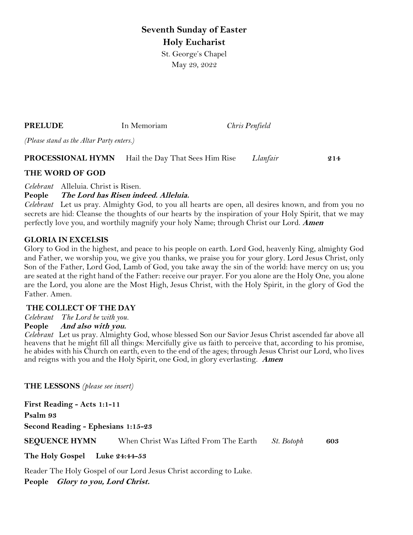# **Seventh Sunday of Easter Holy Eucharist**

St. George's Chapel May 29, 2022

**PRELUDE** In Memoriam *Chris Penfield* 

*(Please stand as the Altar Party enters.)*

# **PROCESSIONAL HYMN** Hail the Day That Sees Him Rise *Llanfair* **214**

# **THE WORD OF GOD**

*Celebrant* Alleluia. Christ is Risen.

### **People****The Lord has Risen indeed. Alleluia.**

*Celebrant* Let us pray. Almighty God, to you all hearts are open, all desires known, and from you no secrets are hid: Cleanse the thoughts of our hearts by the inspiration of your Holy Spirit, that we may perfectly love you, and worthily magnify your holy Name; through Christ our Lord. **Amen**

# **GLORIA IN EXCELSIS**

Glory to God in the highest, and peace to his people on earth. Lord God, heavenly King, almighty God and Father, we worship you, we give you thanks, we praise you for your glory. Lord Jesus Christ, only Son of the Father, Lord God, Lamb of God, you take away the sin of the world: have mercy on us; you are seated at the right hand of the Father: receive our prayer. For you alone are the Holy One, you alone are the Lord, you alone are the Most High, Jesus Christ, with the Holy Spirit, in the glory of God the Father. Amen.

# **THE COLLECT OF THE DAY**

*Celebrant The Lord be with you.* 

### **People****And also with you.**

*Celebrant* Let us pray. Almighty God, whose blessed Son our Savior Jesus Christ ascended far above all heavens that he might fill all things: Mercifully give us faith to perceive that, according to his promise, he abides with his Church on earth, even to the end of the ages; through Jesus Christ our Lord, who lives and reigns with you and the Holy Spirit, one God, in glory everlasting. **Amen**

**THE LESSONS** *(please see insert)*

**First Reading - Acts 1:1-11 Psalm 93 Second Reading - Ephesians 1:15-23**

**SEQUENCE HYMN** When Christ Was Lifted From The Earth *St. Botoph* **603**

**The Holy Gospel Luke 24:44-53**

Reader The Holy Gospel of our Lord Jesus Christ according to Luke. **People Glory to you, Lord Christ.**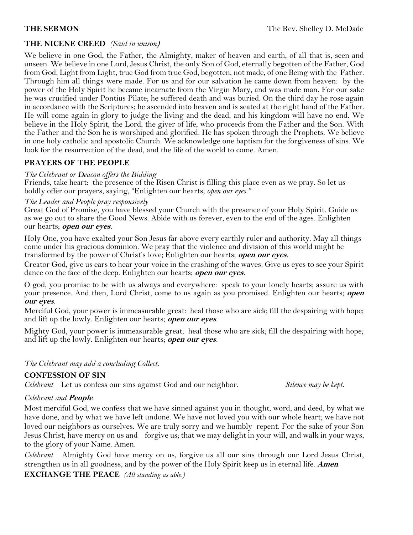# **THE NICENE CREED** *(Said in unison***)**

We believe in one God, the Father, the Almighty, maker of heaven and earth, of all that is, seen and unseen. We believe in one Lord, Jesus Christ, the only Son of God, eternally begotten of the Father, God from God, Light from Light, true God from true God, begotten, not made, of one Being with the Father. Through him all things were made. For us and for our salvation he came down from heaven: by the power of the Holy Spirit he became incarnate from the Virgin Mary, and was made man. For our sake he was crucified under Pontius Pilate; he suffered death and was buried. On the third day he rose again in accordance with the Scriptures; he ascended into heaven and is seated at the right hand of the Father. He will come again in glory to judge the living and the dead, and his kingdom will have no end. We believe in the Holy Spirit, the Lord, the giver of life, who proceeds from the Father and the Son. With the Father and the Son he is worshiped and glorified. He has spoken through the Prophets. We believe in one holy catholic and apostolic Church. We acknowledge one baptism for the forgiveness of sins. We look for the resurrection of the dead, and the life of the world to come. Amen.

# **PRAYERS OF THE PEOPLE**

### *The Celebrant or Deacon offers the Bidding*

Friends, take heart: the presence of the Risen Christ is filling this place even as we pray. So let us boldly offer our prayers, saying, "Enlighten our hearts; *open our eyes."*

#### *The Leader and People pray responsively*

Great God of Promise, you have blessed your Church with the presence of your Holy Spirit. Guide us as we go out to share the Good News. Abide with us forever, even to the end of the ages. Enlighten our hearts; **open our eyes***.*

Holy One, you have exalted your Son Jesus far above every earthly ruler and authority. May all things come under his gracious dominion. We pray that the violence and division of this world might be transformed by the power of Christ's love; Enlighten our hearts; **open our eyes***.*

Creator God, give us ears to hear your voice in the crashing of the waves. Give us eyes to see your Spirit dance on the face of the deep. Enlighten our hearts; **open our eyes***.*

O god, you promise to be with us always and everywhere: speak to your lonely hearts; assure us with your presence. And then, Lord Christ, come to us again as you promised. Enlighten our hearts; **open our eyes***.*

Merciful God, your power is immeasurable great: heal those who are sick; fill the despairing with hope; and lift up the lowly. Enlighten our hearts; **open our eyes***.*

Mighty God, your power is immeasurable great; heal those who are sick; fill the despairing with hope; and lift up the lowly. Enlighten our hearts; **open our eyes***.*

*The Celebrant may add a concluding Collect.*

## **CONFESSION OF SIN**

*Celebrant* Let us confess our sins against God and our neighbor. *Silence may be kept.* 

# *Celebrant and* **People**

Most merciful God, we confess that we have sinned against you in thought, word, and deed, by what we have done, and by what we have left undone. We have not loved you with our whole heart; we have not loved our neighbors as ourselves. We are truly sorry and we humbly repent. For the sake of your Son Jesus Christ, have mercy on us and forgive us; that we may delight in your will, and walk in your ways, to the glory of your Name. Amen.

*Celebrant* Almighty God have mercy on us, forgive us all our sins through our Lord Jesus Christ, strengthen us in all goodness, and by the power of the Holy Spirit keep us in eternal life. **Amen***.*

**EXCHANGE THE PEACE** *(All standing as able.)*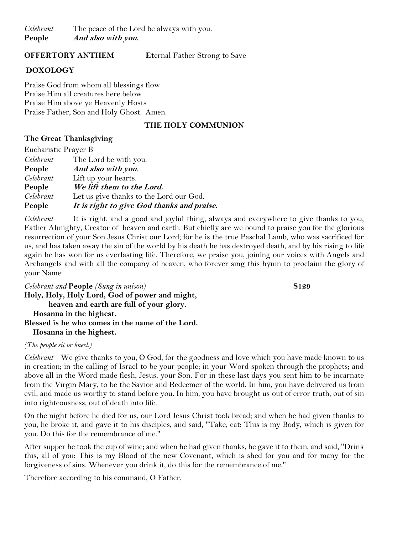*Celebrant* The peace of the Lord be always with you. **People****And also with you.**

**OFFERTORY ANTHEM Et**ernal Father Strong to Save

#### **DOXOLOGY**

Praise God from whom all blessings flow Praise Him all creatures here below Praise Him above ye Heavenly Hosts Praise Father, Son and Holy Ghost. Amen.

#### **THE HOLY COMMUNION**

#### **The Great Thanksgiving**

| Eucharistic Prayer B |                                            |
|----------------------|--------------------------------------------|
| Celebrant            | The Lord be with you.                      |
| People               | And also with you.                         |
| Celebrant            | Lift up your hearts.                       |
| People               | We lift them to the Lord.                  |
| Celebrant            | Let us give thanks to the Lord our God.    |
| People               | It is right to give God thanks and praise. |

*Celebrant* It is right, and a good and joyful thing, always and everywhere to give thanks to you, Father Almighty, Creator of heaven and earth. But chiefly are we bound to praise you for the glorious resurrection of your Son Jesus Christ our Lord; for he is the true Paschal Lamb, who was sacrificed for us, and has taken away the sin of the world by his death he has destroyed death, and by his rising to life again he has won for us everlasting life. Therefore, we praise you, joining our voices with Angels and Archangels and with all the company of heaven, who forever sing this hymn to proclaim the glory of your Name:

*Celebrant and* **People** *(Sung in unison)* **S129 Holy, Holy, Holy Lord, God of power and might, heaven and earth are full of your glory. Hosanna in the highest. Blessed is he who comes in the name of the Lord. Hosanna in the highest.** 

#### *(The people sit or kneel.)*

*Celebrant* We give thanks to you, O God, for the goodness and love which you have made known to us in creation; in the calling of Israel to be your people; in your Word spoken through the prophets; and above all in the Word made flesh, Jesus, your Son. For in these last days you sent him to be incarnate from the Virgin Mary, to be the Savior and Redeemer of the world. In him, you have delivered us from evil, and made us worthy to stand before you. In him, you have brought us out of error truth, out of sin into righteousness, out of death into life.

On the night before he died for us, our Lord Jesus Christ took bread; and when he had given thanks to you, he broke it, and gave it to his disciples, and said, "Take, eat: This is my Body, which is given for you. Do this for the remembrance of me."

After supper he took the cup of wine; and when he had given thanks, he gave it to them, and said, "Drink this, all of you: This is my Blood of the new Covenant, which is shed for you and for many for the forgiveness of sins. Whenever you drink it, do this for the remembrance of me."

Therefore according to his command, O Father,